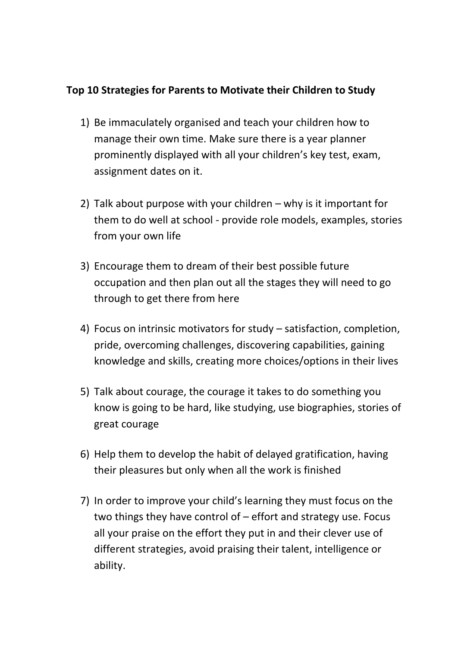## **Top 10 Strategies for Parents to Motivate their Children to Study**

- 1) Be immaculately organised and teach your children how to manage their own time. Make sure there is a year planner prominently displayed with all your children's key test, exam, assignment dates on it.
- 2) Talk about purpose with your children why is it important for them to do well at school - provide role models, examples, stories from your own life
- 3) Encourage them to dream of their best possible future occupation and then plan out all the stages they will need to go through to get there from here
- 4) Focus on intrinsic motivators for study satisfaction, completion, pride, overcoming challenges, discovering capabilities, gaining knowledge and skills, creating more choices/options in their lives
- 5) Talk about courage, the courage it takes to do something you know is going to be hard, like studying, use biographies, stories of great courage
- 6) Help them to develop the habit of delayed gratification, having their pleasures but only when all the work is finished
- 7) In order to improve your child's learning they must focus on the two things they have control of – effort and strategy use. Focus all your praise on the effort they put in and their clever use of different strategies, avoid praising their talent, intelligence or ability.